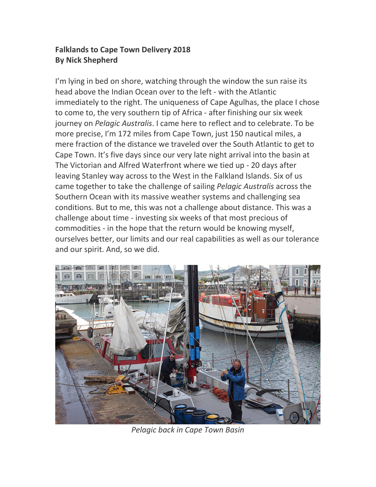## **Falklands to Cape Town Delivery 2018 By Nick Shepherd**

I'm lying in bed on shore, watching through the window the sun raise its head above the Indian Ocean over to the left - with the Atlantic immediately to the right. The uniqueness of Cape Agulhas, the place I chose to come to, the very southern tip of Africa - after finishing our six week journey on *Pelagic Australis*. I came here to reflect and to celebrate. To be more precise, I'm 172 miles from Cape Town, just 150 nautical miles, a mere fraction of the distance we traveled over the South Atlantic to get to Cape Town. It's five days since our very late night arrival into the basin at The Victorian and Alfred Waterfront where we tied up - 20 days after leaving Stanley way across to the West in the Falkland Islands. Six of us came together to take the challenge of sailing *Pelagic Australis* across the Southern Ocean with its massive weather systems and challenging sea conditions. But to me, this was not a challenge about distance. This was a challenge about time - investing six weeks of that most precious of commodities - in the hope that the return would be knowing myself, ourselves better, our limits and our real capabilities as well as our tolerance and our spirit. And, so we did.



*Pelagic back in Cape Town Basin*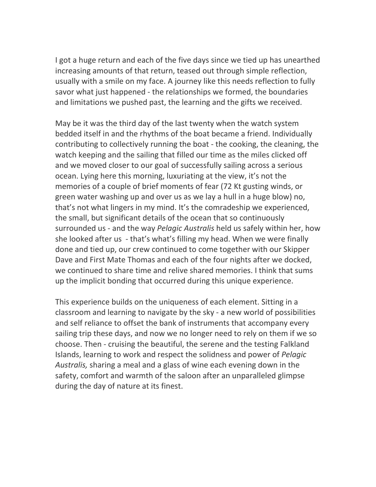I got a huge return and each of the five days since we tied up has unearthed increasing amounts of that return, teased out through simple reflection, usually with a smile on my face. A journey like this needs reflection to fully savor what just happened - the relationships we formed, the boundaries and limitations we pushed past, the learning and the gifts we received.

May be it was the third day of the last twenty when the watch system bedded itself in and the rhythms of the boat became a friend. Individually contributing to collectively running the boat - the cooking, the cleaning, the watch keeping and the sailing that filled our time as the miles clicked off and we moved closer to our goal of successfully sailing across a serious ocean. Lying here this morning, luxuriating at the view, it's not the memories of a couple of brief moments of fear (72 Kt gusting winds, or green water washing up and over us as we lay a hull in a huge blow) no, that's not what lingers in my mind. It's the comradeship we experienced, the small, but significant details of the ocean that so continuously surrounded us - and the way *Pelagic Australis* held us safely within her, how she looked after us - that's what's filling my head. When we were finally done and tied up, our crew continued to come together with our Skipper Dave and First Mate Thomas and each of the four nights after we docked, we continued to share time and relive shared memories. I think that sums up the implicit bonding that occurred during this unique experience.

This experience builds on the uniqueness of each element. Sitting in a classroom and learning to navigate by the sky - a new world of possibilities and self reliance to offset the bank of instruments that accompany every sailing trip these days, and now we no longer need to rely on them if we so choose. Then - cruising the beautiful, the serene and the testing Falkland Islands, learning to work and respect the solidness and power of *Pelagic Australis,* sharing a meal and a glass of wine each evening down in the safety, comfort and warmth of the saloon after an unparalleled glimpse during the day of nature at its finest.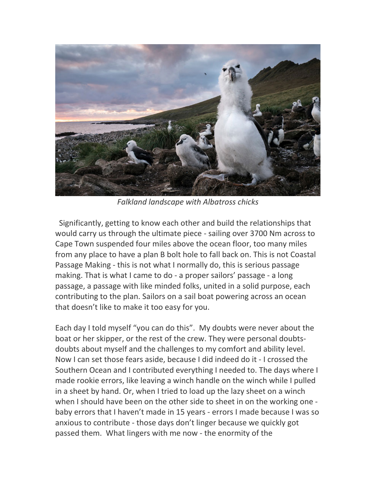

*Falkland landscape with Albatross chicks*

Significantly, getting to know each other and build the relationships that would carry us through the ultimate piece - sailing over 3700 Nm across to Cape Town suspended four miles above the ocean floor, too many miles from any place to have a plan B bolt hole to fall back on. This is not Coastal Passage Making - this is not what I normally do, this is serious passage making. That is what I came to do - a proper sailors' passage - a long passage, a passage with like minded folks, united in a solid purpose, each contributing to the plan. Sailors on a sail boat powering across an ocean that doesn't like to make it too easy for you.

Each day I told myself "you can do this". My doubts were never about the boat or her skipper, or the rest of the crew. They were personal doubtsdoubts about myself and the challenges to my comfort and ability level. Now I can set those fears aside, because I did indeed do it - I crossed the Southern Ocean and I contributed everything I needed to. The days where I made rookie errors, like leaving a winch handle on the winch while I pulled in a sheet by hand. Or, when I tried to load up the lazy sheet on a winch when I should have been on the other side to sheet in on the working one baby errors that I haven't made in 15 years - errors I made because I was so anxious to contribute - those days don't linger because we quickly got passed them. What lingers with me now - the enormity of the